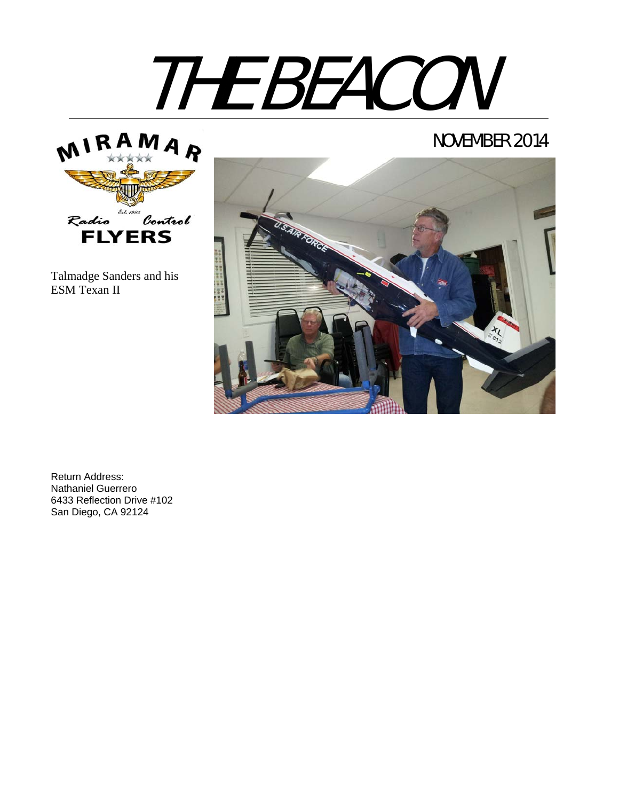

### NOVEMBER 2014



Talmadge Sanders and his ESM Texan II



Return Address: Nathaniel Guerrero 6433 Reflection Drive #102 San Diego, CA 92124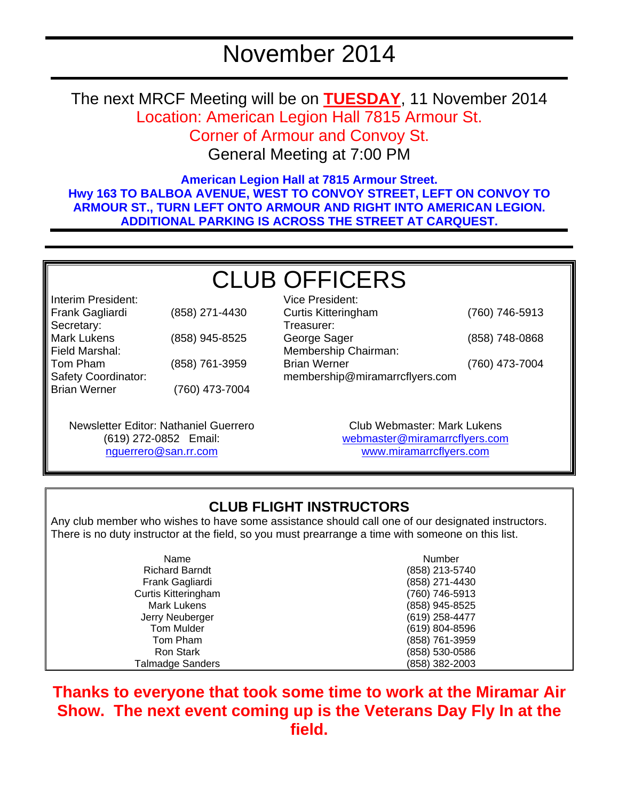# November 2014

The next MRCF Meeting will be on **TUESDAY**, 11 November 2014 Location: American Legion Hall 7815 Armour St. Corner of Armour and Convoy St.

General Meeting at 7:00 PM

**American Legion Hall at 7815 Armour Street. Hwy 163 TO BALBOA AVENUE, WEST TO CONVOY STREET, LEFT ON CONVOY TO ARMOUR ST., TURN LEFT ONTO ARMOUR AND RIGHT INTO AMERICAN LEGION. ADDITIONAL PARKING IS ACROSS THE STREET AT CARQUEST.** 

## CLUB OFFICERS Vice President:

Interim President: Frank Gagliardi (858) 271-4430 Secretary: Mark Lukens (858) 945-8525 Field Marshal: Tom Pham (858) 761-3959 Safety Coordinator: Brian Werner (760) 473-7004

Curtis Kitteringham (760) 746-5913 Treasurer: George Sager (858) 748-0868 Membership Chairman: Brian Werner (760) 473-7004 membership@miramarrcflyers.com

Newsletter Editor: Nathaniel Guerrero (619) 272-0852 Email: nguerrero@san.rr.com

Club Webmaster: Mark Lukens webmaster@miramarrcflyers.com www.miramarrcflyers.com

### **CLUB FLIGHT INSTRUCTORS**

Any club member who wishes to have some assistance should call one of our designated instructors. There is no duty instructor at the field, so you must prearrange a time with someone on this list.

| Name                       | Number         |
|----------------------------|----------------|
| <b>Richard Barndt</b>      | (858) 213-5740 |
| Frank Gagliardi            | (858) 271-4430 |
| <b>Curtis Kitteringham</b> | (760) 746-5913 |
| <b>Mark Lukens</b>         | (858) 945-8525 |
| Jerry Neuberger            | (619) 258-4477 |
| <b>Tom Mulder</b>          | (619) 804-8596 |
| Tom Pham                   | (858) 761-3959 |
| <b>Ron Stark</b>           | (858) 530-0586 |
| <b>Talmadge Sanders</b>    | (858) 382-2003 |

**Thanks to everyone that took some time to work at the Miramar Air Show. The next event coming up is the Veterans Day Fly In at the field.**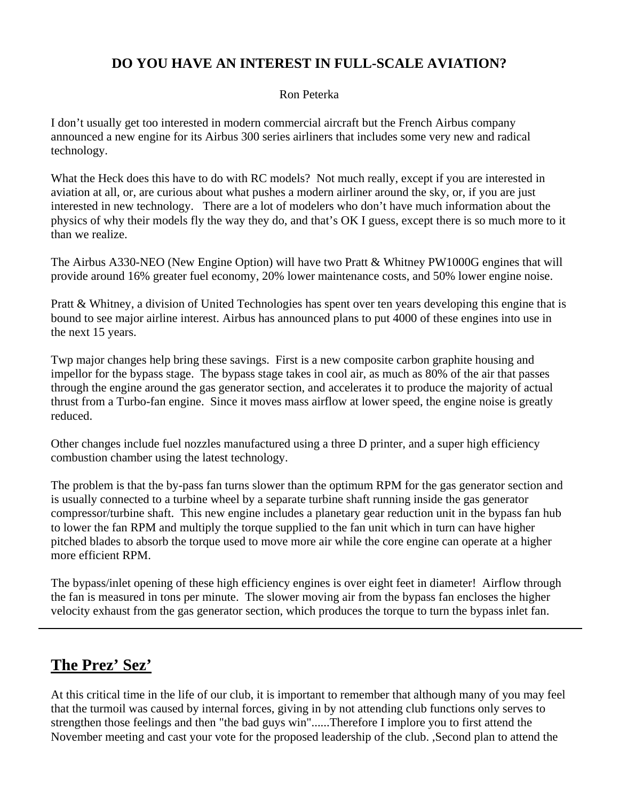### **DO YOU HAVE AN INTEREST IN FULL-SCALE AVIATION?**

#### Ron Peterka

I don't usually get too interested in modern commercial aircraft but the French Airbus company announced a new engine for its Airbus 300 series airliners that includes some very new and radical technology.

What the Heck does this have to do with RC models? Not much really, except if you are interested in aviation at all, or, are curious about what pushes a modern airliner around the sky, or, if you are just interested in new technology. There are a lot of modelers who don't have much information about the physics of why their models fly the way they do, and that's OK I guess, except there is so much more to it than we realize.

The Airbus A330-NEO (New Engine Option) will have two Pratt & Whitney PW1000G engines that will provide around 16% greater fuel economy, 20% lower maintenance costs, and 50% lower engine noise.

Pratt & Whitney, a division of United Technologies has spent over ten years developing this engine that is bound to see major airline interest. Airbus has announced plans to put 4000 of these engines into use in the next 15 years.

Twp major changes help bring these savings. First is a new composite carbon graphite housing and impellor for the bypass stage. The bypass stage takes in cool air, as much as 80% of the air that passes through the engine around the gas generator section, and accelerates it to produce the majority of actual thrust from a Turbo-fan engine. Since it moves mass airflow at lower speed, the engine noise is greatly reduced.

Other changes include fuel nozzles manufactured using a three D printer, and a super high efficiency combustion chamber using the latest technology.

The problem is that the by-pass fan turns slower than the optimum RPM for the gas generator section and is usually connected to a turbine wheel by a separate turbine shaft running inside the gas generator compressor/turbine shaft. This new engine includes a planetary gear reduction unit in the bypass fan hub to lower the fan RPM and multiply the torque supplied to the fan unit which in turn can have higher pitched blades to absorb the torque used to move more air while the core engine can operate at a higher more efficient RPM.

The bypass/inlet opening of these high efficiency engines is over eight feet in diameter! Airflow through the fan is measured in tons per minute. The slower moving air from the bypass fan encloses the higher velocity exhaust from the gas generator section, which produces the torque to turn the bypass inlet fan.

### **The Prez' Sez'**

At this critical time in the life of our club, it is important to remember that although many of you may feel that the turmoil was caused by internal forces, giving in by not attending club functions only serves to strengthen those feelings and then "the bad guys win"......Therefore I implore you to first attend the November meeting and cast your vote for the proposed leadership of the club. ,Second plan to attend the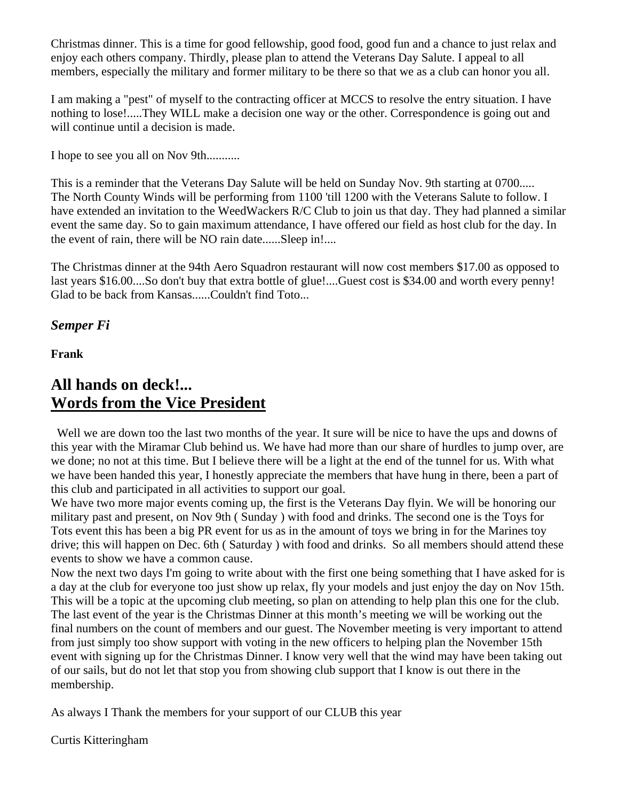Christmas dinner. This is a time for good fellowship, good food, good fun and a chance to just relax and enjoy each others company. Thirdly, please plan to attend the Veterans Day Salute. I appeal to all members, especially the military and former military to be there so that we as a club can honor you all.

I am making a "pest" of myself to the contracting officer at MCCS to resolve the entry situation. I have nothing to lose!.....They WILL make a decision one way or the other. Correspondence is going out and will continue until a decision is made.

I hope to see you all on Nov 9th...........

This is a reminder that the Veterans Day Salute will be held on Sunday Nov. 9th starting at 0700..... The North County Winds will be performing from 1100 'till 1200 with the Veterans Salute to follow. I have extended an invitation to the WeedWackers R/C Club to join us that day. They had planned a similar event the same day. So to gain maximum attendance, I have offered our field as host club for the day. In the event of rain, there will be NO rain date......Sleep in!....

The Christmas dinner at the 94th Aero Squadron restaurant will now cost members \$17.00 as opposed to last years \$16.00....So don't buy that extra bottle of glue!....Guest cost is \$34.00 and worth every penny! Glad to be back from Kansas......Couldn't find Toto...

*Semper Fi*

**Frank** 

### **All hands on deck!... Words from the Vice President**

 Well we are down too the last two months of the year. It sure will be nice to have the ups and downs of this year with the Miramar Club behind us. We have had more than our share of hurdles to jump over, are we done; no not at this time. But I believe there will be a light at the end of the tunnel for us. With what we have been handed this year, I honestly appreciate the members that have hung in there, been a part of this club and participated in all activities to support our goal.

We have two more major events coming up, the first is the Veterans Day flyin. We will be honoring our military past and present, on Nov 9th ( Sunday ) with food and drinks. The second one is the Toys for Tots event this has been a big PR event for us as in the amount of toys we bring in for the Marines toy drive; this will happen on Dec. 6th ( Saturday ) with food and drinks. So all members should attend these events to show we have a common cause.

Now the next two days I'm going to write about with the first one being something that I have asked for is a day at the club for everyone too just show up relax, fly your models and just enjoy the day on Nov 15th. This will be a topic at the upcoming club meeting, so plan on attending to help plan this one for the club. The last event of the year is the Christmas Dinner at this month's meeting we will be working out the final numbers on the count of members and our guest. The November meeting is very important to attend from just simply too show support with voting in the new officers to helping plan the November 15th event with signing up for the Christmas Dinner. I know very well that the wind may have been taking out of our sails, but do not let that stop you from showing club support that I know is out there in the membership.

As always I Thank the members for your support of our CLUB this year

Curtis Kitteringham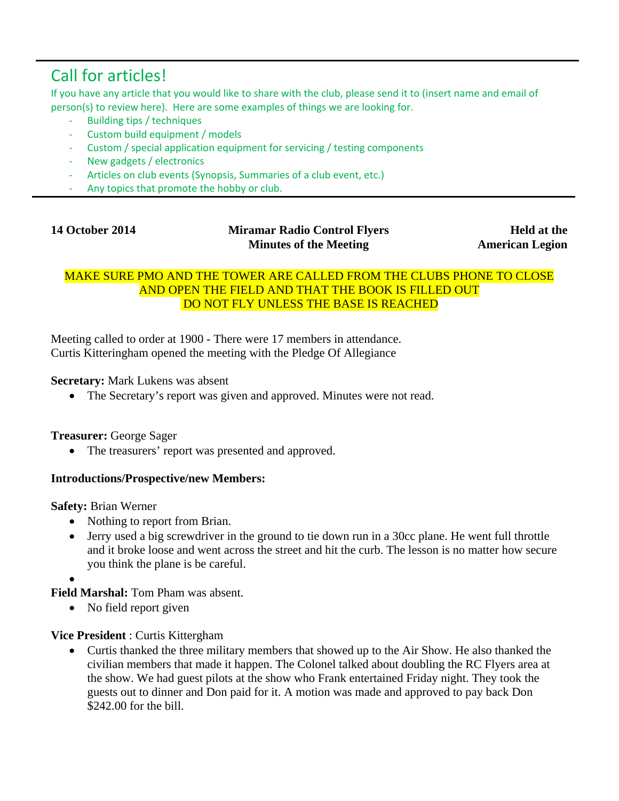# Call for articles!

If you have any article that you would like to share with the club, please send it to (insert name and email of person(s) to review here). Here are some examples of things we are looking for.

- ‐ Building tips / techniques
- ‐ Custom build equipment / models
- ‐ Custom / special application equipment for servicing / testing components
- New gadgets / electronics
- Articles on club events (Synopsis, Summaries of a club event, etc.)
- Any topics that promote the hobby or club.

|  | <b>14 October 2014</b> |  |
|--|------------------------|--|
|--|------------------------|--|

#### **Miramar Radio Control Flyers Minutes of the Meeting**

**Held at the American Legion**

#### MAKE SURE PMO AND THE TOWER ARE CALLED FROM THE CLUBS PHONE TO CLOSE AND OPEN THE FIELD AND THAT THE BOOK IS FILLED OUT DO NOT FLY UNLESS THE BASE IS REACHED

Meeting called to order at 1900 - There were 17 members in attendance. Curtis Kitteringham opened the meeting with the Pledge Of Allegiance

#### **Secretary:** Mark Lukens was absent

• The Secretary's report was given and approved. Minutes were not read.

#### **Treasurer:** George Sager

• The treasurers' report was presented and approved.

#### **Introductions/Prospective/new Members:**

**Safety:** Brian Werner

- Nothing to report from Brian.
- Jerry used a big screwdriver in the ground to tie down run in a 30cc plane. He went full throttle and it broke loose and went across the street and hit the curb. The lesson is no matter how secure you think the plane is be careful.
- •

**Field Marshal:** Tom Pham was absent.

• No field report given

#### **Vice President** : Curtis Kittergham

• Curtis thanked the three military members that showed up to the Air Show. He also thanked the civilian members that made it happen. The Colonel talked about doubling the RC Flyers area at the show. We had guest pilots at the show who Frank entertained Friday night. They took the guests out to dinner and Don paid for it. A motion was made and approved to pay back Don \$242.00 for the bill.